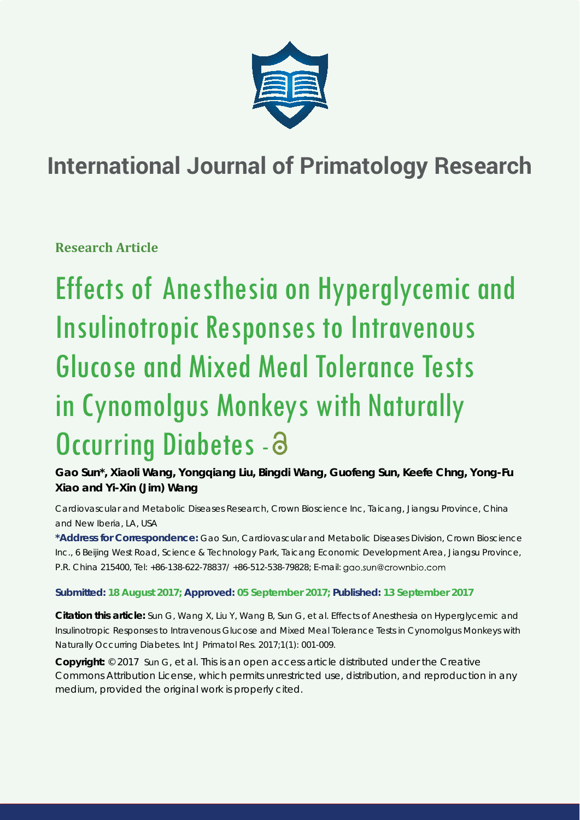

# **International Journal of Primatology Research**

**Research Article**

Effects of Anesthesia on Hyperglycemic and Insulinotropic Responses to Intravenous Glucose and Mixed Meal Tolerance Tests in Cynomolgus Monkeys with Naturally Occurring Diabetes - a

**Gao Sun\*, Xiaoli Wang, Yongqiang Liu, Bingdi Wang, Guofeng Sun, Keefe Chng, Yong-Fu Xiao and Yi-Xin (Jim) Wang**

*Cardiovascular and Metabolic Diseases Research, Crown Bioscience Inc, Taicang, Jiangsu Province, China and New Iberia, LA, USA*

**\*Address for Correspondence:** Gao Sun, Cardiovascular and Metabolic Diseases Division, Crown Bioscience Inc., 6 Beijing West Road, Science & Technology Park, Taicang Economic Development Area, Jiangsu Province, P.R. China 215400, Tel: +86-138-622-78837/ +86-512-538-79828; E-mail:

**Submitted: 18 August 2017; Approved: 05 September 2017; Published: 13 September 2017**

**Citation this article:** Sun G, Wang X, Liu Y, Wang B, Sun G, et al. Effects of Anesthesia on Hyperglycemic and Insulinotropic Responses to Intravenous Glucose and Mixed Meal Tolerance Tests in Cynomolgus Monkeys with Naturally Occurring Diabetes. Int J Primatol Res. 2017;1(1): 001-009.

**Copyright:** © 2017 Sun G, et al. This is an open access article distributed under the Creative Commons Attribution License, which permits unrestricted use, distribution, and reproduction in any medium, provided the original work is properly cited.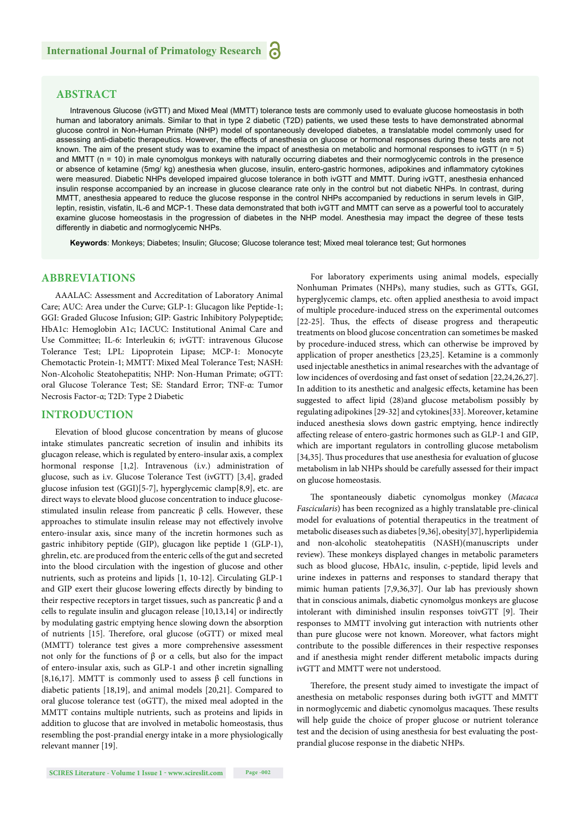# **ABSTRACT**

Intravenous Glucose (ivGTT) and Mixed Meal (MMTT) tolerance tests are commonly used to evaluate glucose homeostasis in both human and laboratory animals. Similar to that in type 2 diabetic (T2D) patients, we used these tests to have demonstrated abnormal glucose control in Non-Human Primate (NHP) model of spontaneously developed diabetes, a translatable model commonly used for assessing anti-diabetic therapeutics. However, the effects of anesthesia on glucose or hormonal responses during these tests are not known. The aim of the present study was to examine the impact of anesthesia on metabolic and hormonal responses to ivGTT (n = 5) and MMTT (n = 10) in male cynomolgus monkeys with naturally occurring diabetes and their normoglycemic controls in the presence or absence of ketamine (5mg/ kg) anesthesia when glucose, insulin, entero-gastric hormones, adipokines and inflammatory cytokines were measured. Diabetic NHPs developed impaired glucose tolerance in both ivGTT and MMTT. During ivGTT, anesthesia enhanced insulin response accompanied by an increase in glucose clearance rate only in the control but not diabetic NHPs. In contrast, during MMTT, anesthesia appeared to reduce the glucose response in the control NHPs accompanied by reductions in serum levels in GIP, leptin, resistin, visfatin, IL-6 and MCP-1. These data demonstrated that both ivGTT and MMTT can serve as a powerful tool to accurately examine glucose homeostasis in the progression of diabetes in the NHP model. Anesthesia may impact the degree of these tests differently in diabetic and normoglycemic NHPs.

**Keywords**: Monkeys; Diabetes; Insulin; Glucose; Glucose tolerance test; Mixed meal tolerance test; Gut hormones

# **ABBREVIATIONS**

AAALAC: Assessment and Accreditation of Laboratory Animal Care; AUC: Area under the Curve; GLP-1: Glucagon like Peptide-1; GGI: Graded Glucose Infusion; GIP: Gastric Inhibitory Polypeptide; HbA1c: Hemoglobin A1c; IACUC: Institutional Animal Care and Use Committee; IL-6: Interleukin 6; ivGTT: intravenous Glucose Tolerance Test; LPL: Lipoprotein Lipase; MCP-1: Monocyte Chemotactic Protein-1; MMTT: Mixed Meal Tolerance Test; NASH: Non-Alcoholic Steatohepatitis; NHP: Non-Human Primate; oGTT: oral Glucose Tolerance Test; SE: Standard Error; TNF-α: Tumor Necrosis Factor-α; T2D: Type 2 Diabetic

### **INTRODUCTION**

Elevation of blood glucose concentration by means of glucose intake stimulates pancreatic secretion of insulin and inhibits its glucagon release, which is regulated by entero-insular axis, a complex hormonal response [1,2]. Intravenous (i.v.) administration of glucose, such as i.v. Glucose Tolerance Test (ivGTT) [3,4], graded glucose infusion test (GGI)[5-7], hyperglycemic clamp[8,9], etc. are direct ways to elevate blood glucose concentration to induce glucosestimulated insulin release from pancreatic β cells. However, these approaches to stimulate insulin release may not effectively involve entero-insular axis, since many of the incretin hormones such as gastric inhibitory peptide (GIP), glucagon like peptide 1 (GLP-1), ghrelin, etc. are produced from the enteric cells of the gut and secreted into the blood circulation with the ingestion of glucose and other nutrients, such as proteins and lipids [1, 10-12]. Circulating GLP-1 and GIP exert their glucose lowering effects directly by binding to their respective receptors in target tissues, such as pancreatic β and  $α$ cells to regulate insulin and glucagon release [10,13,14] or indirectly by modulating gastric emptying hence slowing down the absorption of nutrients [15]. Therefore, oral glucose (oGTT) or mixed meal (MMTT) tolerance test gives a more comprehensive assessment not only for the functions of β or α cells, but also for the impact of entero-insular axis, such as GLP-1 and other incretin signalling [8,16,17]. MMTT is commonly used to assess  $\beta$  cell functions in diabetic patients [18,19], and animal models [20,21]. Compared to oral glucose tolerance test (oGTT), the mixed meal adopted in the MMTT contains multiple nutrients, such as proteins and lipids in addition to glucose that are involved in metabolic homeostasis, thus resembling the post-prandial energy intake in a more physiologically relevant manner [19].

For laboratory experiments using animal models, especially Nonhuman Primates (NHPs), many studies, such as GTTs, GGI, hyperglycemic clamps, etc. often applied anesthesia to avoid impact of multiple procedure-induced stress on the experimental outcomes [22-25]. Thus, the effects of disease progress and therapeutic treatments on blood glucose concentration can sometimes be masked by procedure-induced stress, which can otherwise be improved by application of proper anesthetics [23,25]. Ketamine is a commonly used injectable anesthetics in animal researches with the advantage of low incidences of overdosing and fast onset of sedation [22,24,26,27]. In addition to its anesthetic and analgesic effects, ketamine has been suggested to affect lipid (28)and glucose metabolism possibly by regulating adipokines [29-32] and cytokines[33]. Moreover, ketamine induced anesthesia slows down gastric emptying, hence indirectly affecting release of entero-gastric hormones such as GLP-1 and GIP, which are important regulators in controlling glucose metabolism [34,35]. Thus procedures that use anesthesia for evaluation of glucose metabolism in lab NHPs should be carefully assessed for their impact on glucose homeostasis.

The spontaneously diabetic cynomolgus monkey (Macaca *Fascicularis*) has been recognized as a highly translatable pre-clinical model for evaluations of potential therapeutics in the treatment of metabolic diseases such as diabetes [9,36], obesity[37], hyperlipidemia and non-alcoholic steatohepatitis (NASH)(manuscripts under review). These monkeys displayed changes in metabolic parameters such as blood glucose, HbA1c, insulin, c-peptide, lipid levels and urine indexes in patterns and responses to standard therapy that mimic human patients [7,9,36,37]. Our lab has previously shown that in conscious animals, diabetic cynomolgus monkeys are glucose intolerant with diminished insulin responses toivGTT [9]. Their responses to MMTT involving gut interaction with nutrients other than pure glucose were not known. Moreover, what factors might contribute to the possible differences in their respective responses and if anesthesia might render different metabolic impacts during ivGTT and MMTT were not understood.

Therefore, the present study aimed to investigate the impact of anesthesia on metabolic responses during both ivGTT and MMTT in normoglycemic and diabetic cynomolgus macaques. These results will help guide the choice of proper glucose or nutrient tolerance test and the decision of using anesthesia for best evaluating the postprandial glucose response in the diabetic NHPs.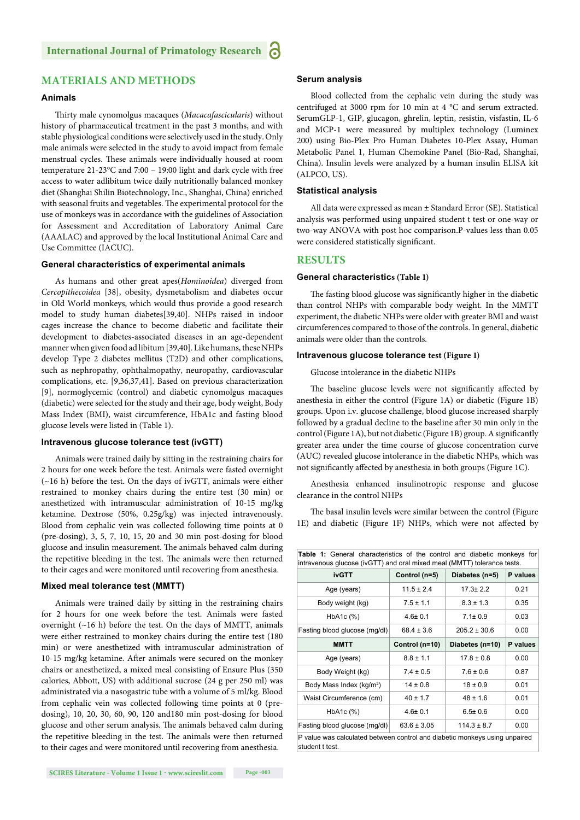# **MATERIALS AND METHODS**

#### **Animals**

Th irty male cynomolgus macaques (*Macacafascicularis*) without history of pharmaceutical treatment in the past 3 months, and with stable physiological conditions were selectively used in the study. Only male animals were selected in the study to avoid impact from female menstrual cycles. These animals were individually housed at room temperature 21-23°C and 7:00 – 19:00 light and dark cycle with free access to water adlibitum twice daily nutritionally balanced monkey diet (Shanghai Shilin Biotechnology, Inc., Shanghai, China) enriched with seasonal fruits and vegetables. The experimental protocol for the use of monkeys was in accordance with the guidelines of Association for Assessment and Accreditation of Laboratory Animal Care (AAALAC) and approved by the local Institutional Animal Care and Use Committee (IACUC).

#### **General characteristics of experimental animals**

As humans and other great apes(*Hominoidea*) diverged from *Cercopithecoidea* [38], obesity, dysmetabolism and diabetes occur in Old World monkeys, which would thus provide a good research model to study human diabetes[39,40]. NHPs raised in indoor cages increase the chance to become diabetic and facilitate their development to diabetes-associated diseases in an age-dependent manner when given food ad libitum [39,40]. Like humans, these NHPs develop Type 2 diabetes mellitus (T2D) and other complications, such as nephropathy, ophthalmopathy, neuropathy, cardiovascular complications, etc. [9,36,37,41]. Based on previous characterization [9], normoglycemic (control) and diabetic cynomolgus macaques (diabetic) were selected for the study and their age, body weight, Body Mass Index (BMI), waist circumference, HbA1c and fasting blood glucose levels were listed in (Table 1).

#### **Intravenous glucose tolerance test (ivGTT)**

Animals were trained daily by sitting in the restraining chairs for 2 hours for one week before the test. Animals were fasted overnight (~16 h) before the test. On the days of ivGTT, animals were either restrained to monkey chairs during the entire test (30 min) or anesthetized with intramuscular administration of 10-15 mg/kg ketamine. Dextrose (50%, 0.25g/kg) was injected intravenously. Blood from cephalic vein was collected following time points at 0 (pre-dosing), 3, 5, 7, 10, 15, 20 and 30 min post-dosing for blood glucose and insulin measurement. The animals behaved calm during the repetitive bleeding in the test. The animals were then returned to their cages and were monitored until recovering from anesthesia.

#### **Mixed meal tolerance test (MMTT)**

Animals were trained daily by sitting in the restraining chairs for 2 hours for one week before the test. Animals were fasted overnight  $(\sim 16 \text{ h})$  before the test. On the days of MMTT, animals were either restrained to monkey chairs during the entire test (180 min) or were anesthetized with intramuscular administration of 10-15 mg/kg ketamine. After animals were secured on the monkey chairs or anesthetized, a mixed meal consisting of Ensure Plus (350 calories, Abbott, US) with additional sucrose (24 g per 250 ml) was administrated via a nasogastric tube with a volume of 5 ml/kg. Blood from cephalic vein was collected following time points at 0 (predosing), 10, 20, 30, 60, 90, 120 and180 min post-dosing for blood glucose and other serum analysis. The animals behaved calm during the repetitive bleeding in the test. The animals were then returned to their cages and were monitored until recovering from anesthesia.

#### **Serum analysis**

Blood collected from the cephalic vein during the study was centrifuged at 3000 rpm for 10 min at 4 °C and serum extracted. SerumGLP-1, GIP, glucagon, ghrelin, leptin, resistin, visfastin, IL-6 and MCP-1 were measured by multiplex technology (Luminex 200) using Bio-Plex Pro Human Diabetes 10-Plex Assay, Human Metabolic Panel 1, Human Chemokine Panel (Bio-Rad, Shanghai, China). Insulin levels were analyzed by a human insulin ELISA kit (ALPCO, US).

#### **Statistical analysis**

All data were expressed as mean ± Standard Error (SE). Statistical analysis was performed using unpaired student t test or one-way or two-way ANOVA with post hoc comparison.P-values less than 0.05 were considered statistically significant.

#### **RESULTS**

#### **General characteristics (Table 1)**

The fasting blood glucose was significantly higher in the diabetic than control NHPs with comparable body weight. In the MMTT experiment, the diabetic NHPs were older with greater BMI and waist circumferences compared to those of the controls. In general, diabetic animals were older than the controls.

## **Intravenous glucose tolerance test (Figure 1)**

Glucose intolerance in the diabetic NHPs

The baseline glucose levels were not significantly affected by anesthesia in either the control (Figure 1A) or diabetic (Figure 1B) groups. Upon i.v. glucose challenge, blood glucose increased sharply followed by a gradual decline to the baseline after 30 min only in the control (Figure 1A), but not diabetic (Figure 1B) group. A significantly greater area under the time course of glucose concentration curve (AUC) revealed glucose intolerance in the diabetic NHPs, which was not significantly affected by anesthesia in both groups (Figure 1C).

Anesthesia enhanced insulinotropic response and glucose clearance in the control NHPs

The basal insulin levels were similar between the control (Figure 1E) and diabetic (Figure 1F) NHPs, which were not affected by

| <b>Table 1:</b> General characteristics of the control and diabetic monkeys for<br>intravenous glucose (ivGTT) and oral mixed meal (MMTT) tolerance tests. |                 |                  |          |
|------------------------------------------------------------------------------------------------------------------------------------------------------------|-----------------|------------------|----------|
| <b>ivGTT</b>                                                                                                                                               | Control (n=5)   | Diabetes (n=5)   | P values |
| Age (years)                                                                                                                                                | $11.5 \pm 2.4$  | $17.3 + 2.2$     | 0.21     |
| Body weight (kg)                                                                                                                                           | $7.5 \pm 1.1$   | $8.3 \pm 1.3$    | 0.35     |
| $HbA1c$ $%$                                                                                                                                                | $4.6 \pm 0.1$   | $7.1 \pm 0.9$    | 0.03     |
| Fasting blood glucose (mg/dl)                                                                                                                              | $68.4 \pm 3.6$  | $205.2 \pm 30.6$ | 0.00     |
| <b>MMTT</b>                                                                                                                                                | Control (n=10)  | Diabetes (n=10)  | P values |
| Age (years)                                                                                                                                                | $8.8 \pm 1.1$   | $178 + 08$       | 0.00     |
| Body Weight (kg)                                                                                                                                           | $7.4 \pm 0.5$   | $7.6 \pm 0.6$    | 0.87     |
| Body Mass Index (kg/m <sup>2</sup> )                                                                                                                       | $14 \pm 0.8$    | $18 \pm 0.9$     | 0.01     |
| Waist Circumference (cm)                                                                                                                                   | $40 \pm 1.7$    | $48 \pm 1.6$     | 0.01     |
| $HbA1c$ $(\%)$                                                                                                                                             | $4.6 \pm 0.1$   | $6.5 \pm 0.6$    | 0.00     |
| Fasting blood glucose (mg/dl)                                                                                                                              | $63.6 \pm 3.05$ | $114.3 \pm 8.7$  | 0.00     |
| P value was calculated between control and diabetic monkeys using unpaired<br>student t test.                                                              |                 |                  |          |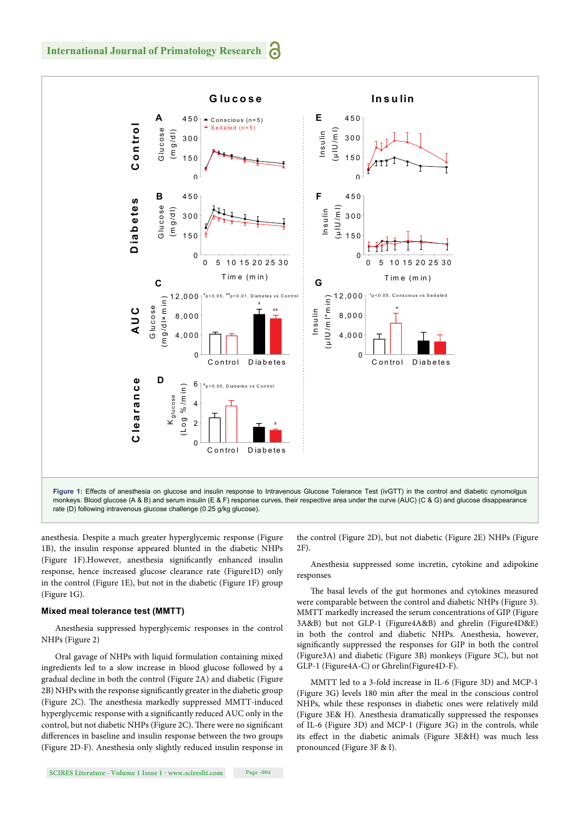

anesthesia. Despite a much greater hyperglycemic response (Figure 1B), the insulin response appeared blunted in the diabetic NHPs (Figure 1F). However, anesthesia significantly enhanced insulin response, hence increased glucose clearance rate (Figure1D) only in the control (Figure 1E), but not in the diabetic (Figure 1F) group (Figure 1G).

#### **Mixed meal tolerance test (MMTT)**

Anesthesia suppressed hyperglycemic responses in the control NHPs (Figure 2)

Oral gavage of NHPs with liquid formulation containing mixed ingredients led to a slow increase in blood glucose followed by a gradual decline in both the control (Figure 2A) and diabetic (Figure 2B) NHPs with the response significantly greater in the diabetic group (Figure 2C). The anesthesia markedly suppressed MMTT-induced hyperglycemic response with a significantly reduced AUC only in the control, but not diabetic NHPs (Figure 2C). There were no significant differences in baseline and insulin response between the two groups (Figure 2D-F). Anesthesia only slightly reduced insulin response in

the control (Figure 2D), but not diabetic (Figure 2E) NHPs (Figure 2F).

Anesthesia suppressed some incretin, cytokine and adipokine responses

The basal levels of the gut hormones and cytokines measured were comparable between the control and diabetic NHPs (Figure 3). MMTT markedly increased the serum concentrations of GIP (Figure 3A&B) but not GLP-1 (Figure4A&B) and ghrelin (Figure4D&E) in both the control and diabetic NHPs. Anesthesia, however, significantly suppressed the responses for GIP in both the control (Figure3A) and diabetic (Figure 3B) monkeys (Figure 3C), but not GLP-1 (Figure4A-C) or Ghrelin(Figure4D-F).

MMTT led to a 3-fold increase in IL-6 (Figure 3D) and MCP-1 (Figure  $3G$ ) levels  $180$  min after the meal in the conscious control NHPs, while these responses in diabetic ones were relatively mild (Figure 3E& H). Anesthesia dramatically suppressed the responses of IL-6 (Figure 3D) and MCP-1 (Figure 3G) in the controls, while its effect in the diabetic animals (Figure 3E&H) was much less pronounced (Figure 3F & I).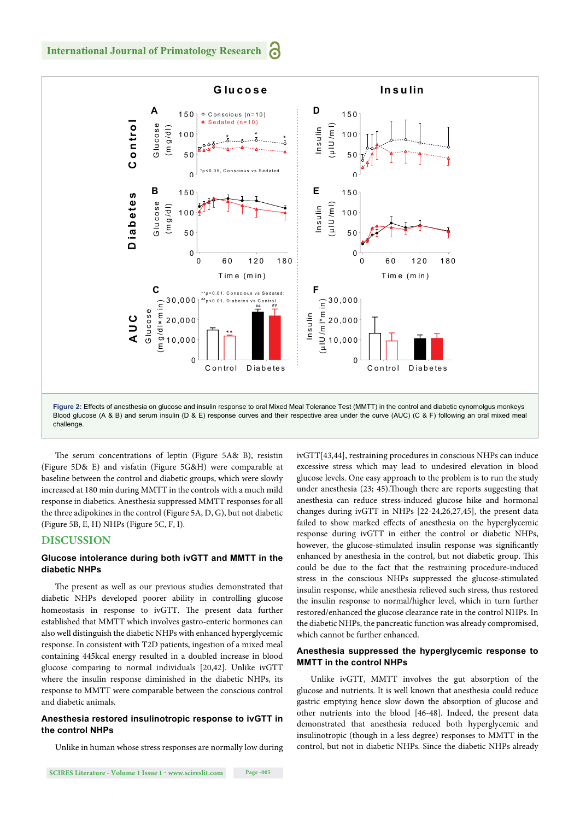

The serum concentrations of leptin (Figure 5A& B), resistin (Figure 5D& E) and visfatin (Figure 5G&H) were comparable at baseline between the control and diabetic groups, which were slowly increased at 180 min during MMTT in the controls with a much mild response in diabetics. Anesthesia suppressed MMTT responses for all the three adipokines in the control (Figure 5A, D, G), but not diabetic (Figure 5B, E, H) NHPs (Figure 5C, F, I).

## **DISCUSSION**

## **Glucose intolerance during both ivGTT and MMTT in the diabetic NHPs**

The present as well as our previous studies demonstrated that diabetic NHPs developed poorer ability in controlling glucose homeostasis in response to ivGTT. The present data further established that MMTT which involves gastro-enteric hormones can also well distinguish the diabetic NHPs with enhanced hyperglycemic response. In consistent with T2D patients, ingestion of a mixed meal containing 445kcal energy resulted in a doubled increase in blood glucose comparing to normal individuals [20,42]. Unlike ivGTT where the insulin response diminished in the diabetic NHPs, its response to MMTT were comparable between the conscious control and diabetic animals.

## **Anesthesia restored insulinotropic response to ivGTT in the control NHPs**

Unlike in human whose stress responses are normally low during

ivGTT[43,44], restraining procedures in conscious NHPs can induce excessive stress which may lead to undesired elevation in blood glucose levels. One easy approach to the problem is to run the study under anesthesia (23; 45). Though there are reports suggesting that anesthesia can reduce stress-induced glucose hike and hormonal changes during ivGTT in NHPs [22-24,26,27,45], the present data failed to show marked effects of anesthesia on the hyperglycemic response during ivGTT in either the control or diabetic NHPs, however, the glucose-stimulated insulin response was significantly enhanced by anesthesia in the control, but not diabetic group. This could be due to the fact that the restraining procedure-induced stress in the conscious NHPs suppressed the glucose-stimulated insulin response, while anesthesia relieved such stress, thus restored the insulin response to normal/higher level, which in turn further restored/enhanced the glucose clearance rate in the control NHPs. In the diabetic NHPs, the pancreatic function was already compromised, which cannot be further enhanced.

#### **Anesthesia suppressed the hyperglycemic response to MMTT in the control NHPs**

Unlike ivGTT, MMTT involves the gut absorption of the glucose and nutrients. It is well known that anesthesia could reduce gastric emptying hence slow down the absorption of glucose and other nutrients into the blood [46-48]. Indeed, the present data demonstrated that anesthesia reduced both hyperglycemic and insulinotropic (though in a less degree) responses to MMTT in the control, but not in diabetic NHPs. Since the diabetic NHPs already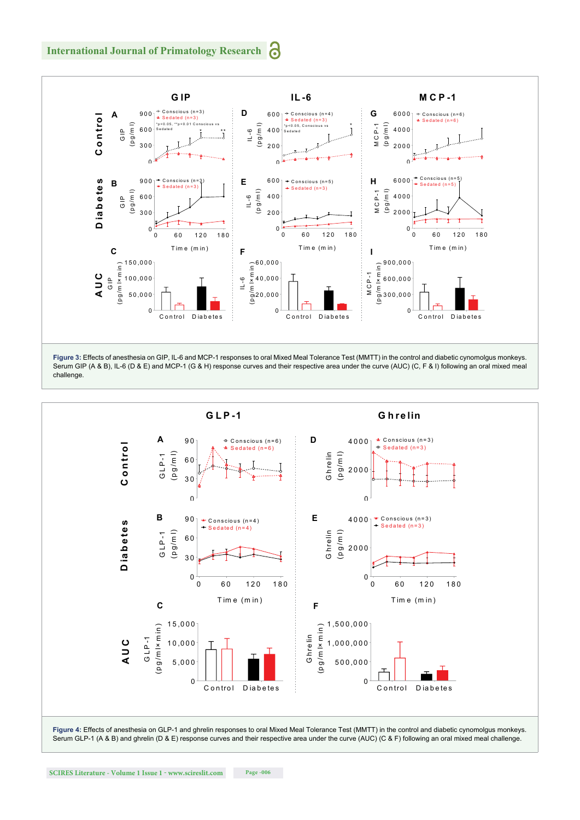

**Figure 3:** Effects of anesthesia on GIP, IL-6 and MCP-1 responses to oral Mixed Meal Tolerance Test (MMTT) in the control and diabetic cynomolgus monkeys. Serum GIP (A & B), IL-6 (D & E) and MCP-1 (G & H) response curves and their respective area under the curve (AUC) (C, F & I) following an oral mixed meal challenge.



Serum GLP-1 (A & B) and ghrelin (D & E) response curves and their respective area under the curve (AUC) (C & F) following an oral mixed meal challenge.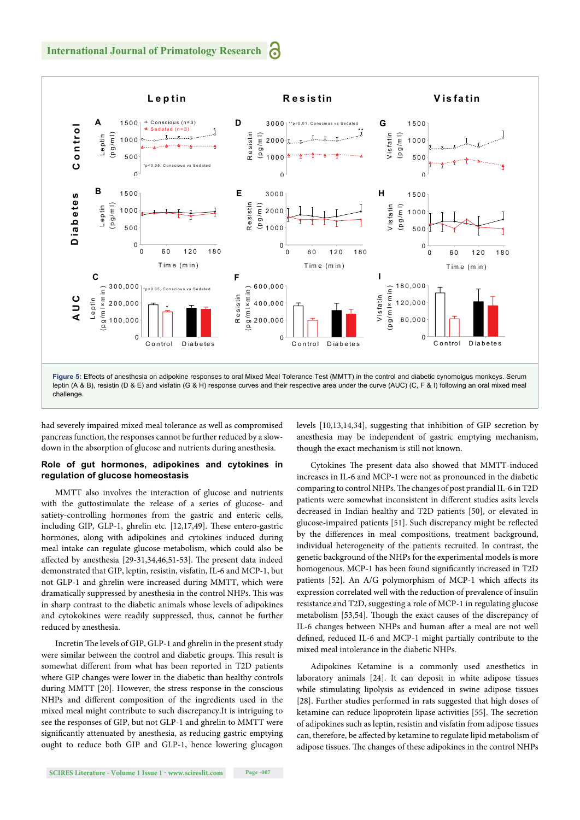

had severely impaired mixed meal tolerance as well as compromised pancreas function, the responses cannot be further reduced by a slowdown in the absorption of glucose and nutrients during anesthesia.

## **Role of gut hormones, adipokines and cytokines in regulation of glucose homeostasis**

MMTT also involves the interaction of glucose and nutrients with the guttostimulate the release of a series of glucose- and satiety-controlling hormones from the gastric and enteric cells, including GIP, GLP-1, ghrelin etc. [12,17,49]. These entero-gastric hormones, along with adipokines and cytokines induced during meal intake can regulate glucose metabolism, which could also be affected by anesthesia [29-31,34,46,51-53]. The present data indeed demonstrated that GIP, leptin, resistin, visfatin, IL-6 and MCP-1, but not GLP-1 and ghrelin were increased during MMTT, which were dramatically suppressed by anesthesia in the control NHPs. This was in sharp contrast to the diabetic animals whose levels of adipokines and cytokokines were readily suppressed, thus, cannot be further reduced by anesthesia.

Incretin The levels of GIP, GLP-1 and ghrelin in the present study were similar between the control and diabetic groups. This result is somewhat different from what has been reported in T2D patients where GIP changes were lower in the diabetic than healthy controls during MMTT [20]. However, the stress response in the conscious NHPs and different composition of the ingredients used in the mixed meal might contribute to such discrepancy.It is intriguing to see the responses of GIP, but not GLP-1 and ghrelin to MMTT were significantly attenuated by anesthesia, as reducing gastric emptying ought to reduce both GIP and GLP-1, hence lowering glucagon levels [10,13,14,34], suggesting that inhibition of GIP secretion by anesthesia may be independent of gastric emptying mechanism, though the exact mechanism is still not known.

Cytokines The present data also showed that MMTT-induced increases in IL-6 and MCP-1 were not as pronounced in the diabetic comparing to control NHPs. The changes of post prandial IL-6 in T2D patients were somewhat inconsistent in different studies asits levels decreased in Indian healthy and T2D patients [50], or elevated in glucose-impaired patients [51]. Such discrepancy might be reflected by the differences in meal compositions, treatment background, individual heterogeneity of the patients recruited. In contrast, the genetic background of the NHPs for the experimental models is more homogenous. MCP-1 has been found significantly increased in T2D patients [52]. An A/G polymorphism of MCP-1 which affects its expression correlated well with the reduction of prevalence of insulin resistance and T2D, suggesting a role of MCP-1 in regulating glucose metabolism [53,54]. Though the exact causes of the discrepancy of IL-6 changes between NHPs and human after a meal are not well defined, reduced IL-6 and MCP-1 might partially contribute to the mixed meal intolerance in the diabetic NHPs.

Adipokines Ketamine is a commonly used anesthetics in laboratory animals [24]. It can deposit in white adipose tissues while stimulating lipolysis as evidenced in swine adipose tissues [28]. Further studies performed in rats suggested that high doses of ketamine can reduce lipoprotein lipase activities [55]. The secretion of adipokines such as leptin, resistin and visfatin from adipose tissues can, therefore, be affected by ketamine to regulate lipid metabolism of adipose tissues. The changes of these adipokines in the control NHPs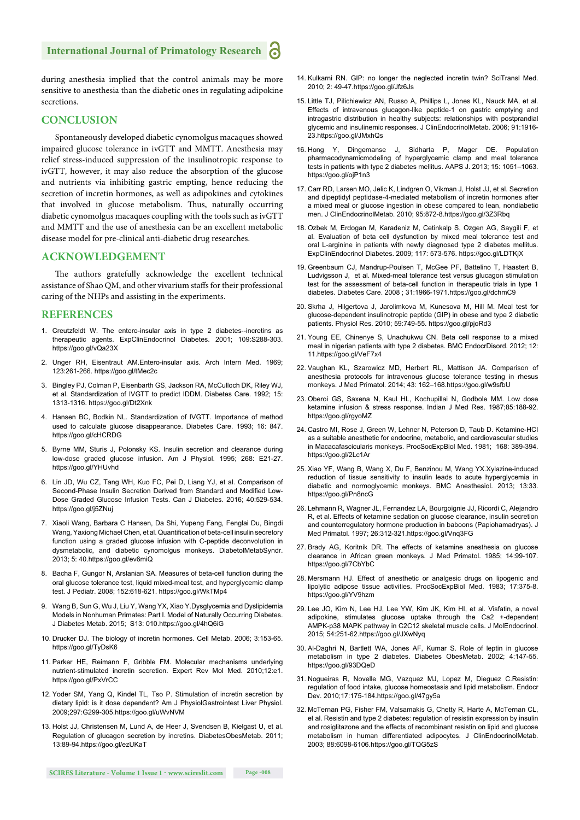# **International Journal of Primatology Research**

during anesthesia implied that the control animals may be more sensitive to anesthesia than the diabetic ones in regulating adipokine secretions.

#### **CONCLUSION**

Spontaneously developed diabetic cynomolgus macaques showed impaired glucose tolerance in ivGTT and MMTT. Anesthesia may relief stress-induced suppression of the insulinotropic response to ivGTT, however, it may also reduce the absorption of the glucose and nutrients via inhibiting gastric empting, hence reducing the secretion of incretin hormones, as well as adipokines and cytokines that involved in glucose metabolism. Thus, naturally occurring diabetic cynomolgus macaques coupling with the tools such as ivGTT and MMTT and the use of anesthesia can be an excellent metabolic disease model for pre-clinical anti-diabetic drug researches.

## **ACKNOWLEDGEMENT**

The authors gratefully acknowledge the excellent technical assistance of Shao QM, and other vivarium staffs for their professional caring of the NHPs and assisting in the experiments.

# **REFERENCES**

- 1. Creutzfeldt W. The entero-insular axis in type 2 diabetes--incretins as therapeutic agents. ExpClinEndocrinol Diabetes. 2001; 109:S288-303. https://goo.gl/vQa23X
- 2. Unger RH, Eisentraut AM.Entero-insular axis. Arch Intern Med. 1969; 123:261-266. https://goo.gl/tMec2c
- 3. Bingley PJ, Colman P, Eisenbarth GS, Jackson RA, McCulloch DK, Riley WJ, et al. Standardization of IVGTT to predict IDDM. Diabetes Care. 1992; 15: 1313-1316. https://goo.gl/Dt2Xnk
- 4. Hansen BC, Bodkin NL. Standardization of IVGTT. Importance of method used to calculate glucose disappearance. Diabetes Care. 1993; 16: 847. https://goo.gl/cHCRDG
- 5. Byrne MM, Sturis J, Polonsky KS. Insulin secretion and clearance during low-dose graded glucose infusion. Am J Physiol. 1995; 268: E21-27. https://goo.gl/YHUvhd
- 6. Lin JD, Wu CZ, Tang WH, Kuo FC, Pei D, Liang YJ, et al. Comparison of Second-Phase Insulin Secretion Derived from Standard and Modified Low-Dose Graded Glucose Infusion Tests. Can J Diabetes. 2016; 40:529-534. https://goo.gl/j5ZNuj
- 7. Xiaoli Wang, Barbara C Hansen, Da Shi, Yupeng Fang, Fenglai Du, Bingdi Wang, Yaxiong Michael Chen, et al. Quantification of beta-cell insulin secretory function using a graded glucose infusion with C-peptide deconvolution in dysmetabolic, and diabetic cynomolgus monkeys. DiabetolMetabSyndr. 2013; 5: 40.https://goo.gl/ev6miQ
- 8. Bacha F, Gungor N, Arslanian SA. Measures of beta-cell function during the oral glucose tolerance test, liquid mixed-meal test, and hyperglycemic clamp test. J Pediatr. 2008; 152:618-621. https://goo.gl/WkTMp4
- 9. Wang B, Sun G, Wu J, Liu Y, Wang YX, Xiao Y.Dysglycemia and Dyslipidemia Models in Nonhuman Primates: Part I. Model of Naturally Occurring Diabetes. J Diabetes Metab. 2015; S13: 010.https://goo.gl/4hQ6iG
- 10. Drucker DJ. The biology of incretin hormones. Cell Metab. 2006; 3:153-65. https://goo.gl/TyDsK6
- 11. Parker HE, Reimann F, Gribble FM. Molecular mechanisms underlying nutrient-stimulated incretin secretion. Expert Rev Mol Med. 2010;12:e1. https://goo.gl/PxVrCC
- 12. Yoder SM, Yang Q, Kindel TL, Tso P. Stimulation of incretin secretion by dietary lipid: is it dose dependent? Am J PhysiolGastrointest Liver Physiol. 2009;297:G299-305.https://goo.gl/uWvNVM
- 13. Holst JJ, Christensen M, Lund A, de Heer J, Svendsen B, Kielgast U, et al. Regulation of glucagon secretion by incretins. DiabetesObesMetab. 2011; 13:89-94.https://goo.gl/ezUKaT
- 14. Kulkarni RN. GIP: no longer the neglected incretin twin? SciTransl Med. 2010; 2: 49-47.https://goo.gl/Jfz6Js
- 15. Little TJ, Pilichiewicz AN, Russo A, Phillips L, Jones KL, Nauck MA, et al. Effects of intravenous glucagon-like peptide-1 on gastric emptying and intragastric distribution in healthy subjects: relationships with postprandial glycemic and insulinemic responses. J ClinEndocrinolMetab. 2006; 91:1916- 23.https://goo.gl/JMxhQs
- 16. Hong Y, Dingemanse J, Sidharta P, Mager DE. Population pharmacodynamicmodeling of hyperglycemic clamp and meal tolerance tests in patients with type 2 diabetes mellitus. AAPS J. 2013; 15: 1051–1063. https://goo.gl/ojP1n3
- 17. Carr RD, Larsen MO, Jelic K, Lindgren O, Vikman J, Holst JJ, et al. Secretion and dipeptidyl peptidase-4-mediated metabolism of incretin hormones after a mixed meal or glucose ingestion in obese compared to lean, nondiabetic men. J ClinEndocrinolMetab. 2010; 95:872-8.https://goo.gl/3Z3Rbq
- 18. Ozbek M, Erdogan M, Karadeniz M, Cetinkalp S, Ozgen AG, Saygili F, et al. Evaluation of beta cell dysfunction by mixed meal tolerance test and oral L-arginine in patients with newly diagnosed type 2 diabetes mellitus. ExpClinEndocrinol Diabetes. 2009; 117: 573-576. https://goo.gl/LDTKjX
- 19. Greenbaum CJ, Mandrup-Poulsen T, McGee PF, Battelino T, Haastert B, Ludvigsson J, et al. Mixed-meal tolerance test versus glucagon stimulation test for the assessment of beta-cell function in therapeutic trials in type 1 diabetes. Diabetes Care. 2008 ; 31:1966-1971.https://goo.gl/dchmC9
- 20. Skrha J, Hilgertova J, Jarolimkova M, Kunesova M, Hill M. Meal test for glucose-dependent insulinotropic peptide (GIP) in obese and type 2 diabetic patients. Physiol Res. 2010; 59:749-55. https://goo.gl/pjoRd3
- 21. Young EE, Chinenye S, Unachukwu CN. Beta cell response to a mixed meal in nigerian patients with type 2 diabetes. BMC EndocrDisord. 2012; 12: 11.https://goo.gl/VeF7x4
- 22. Vaughan KL, Szarowicz MD, Herbert RL, Mattison JA. Comparison of anesthesia protocols for intravenous glucose tolerance testing in rhesus monkeys. J Med Primatol. 2014; 43: 162–168.https://goo.gl/w9sfbU
- 23. Oberoi GS, Saxena N, Kaul HL, Kochupillai N, Godbole MM. Low dose ketamine infusion & stress response. Indian J Med Res. 1987;85:188-92. https://goo.gl/rgyoMZ
- 24. Castro MI, Rose J, Green W, Lehner N, Peterson D, Taub D. Ketamine-HCI as a suitable anesthetic for endocrine, metabolic, and cardiovascular studies in Macacafascicularis monkeys. ProcSocExpBiol Med. 1981; 168: 389-394. https://goo.gl/2Lc1Ar
- 25. Xiao YF, Wang B, Wang X, Du F, Benzinou M, Wang YX.Xylazine-induced reduction of tissue sensitivity to insulin leads to acute hyperglycemia in diabetic and normoglycemic monkeys. BMC Anesthesiol. 2013; 13:33. https://goo.gl/Pn8ncG
- 26. Lehmann R, Wagner JL, Fernandez LA, Bourgoignie JJ, Ricordi C, Alejandro R, et al. Effects of ketamine sedation on glucose clearance, insulin secretion and counterregulatory hormone production in baboons (Papiohamadryas). J Med Primatol. 1997; 26:312-321.https://goo.gl/Vnq3FG
- 27. Brady AG, Koritnik DR. The effects of ketamine anesthesia on glucose clearance in African green monkeys. J Med Primatol. 1985; 14:99-107. https://goo.gl/7CbYbC
- 28. Mersmann HJ. Effect of anesthetic or analgesic drugs on lipogenic and lipolytic adipose tissue activities. ProcSocExpBiol Med. 1983; 17:375-8. https://goo.gl/YV9hzm
- 29. Lee JO, Kim N, Lee HJ, Lee YW, Kim JK, Kim HI, et al. Visfatin, a novel adipokine, stimulates glucose uptake through the Ca2 +-dependent AMPK-p38 MAPK pathway in C2C12 skeletal muscle cells. J MolEndocrinol. 2015; 54:251-62.https://goo.gl/JXwNyq
- 30. Al-Daghri N, Bartlett WA, Jones AF, Kumar S. Role of leptin in glucose metabolism in type 2 diabetes. Diabetes ObesMetab. 2002; 4:147-55. https://goo.gl/93DQeD
- 31. Nogueiras R, Novelle MG, Vazquez MJ, Lopez M, Dieguez C.Resistin: regulation of food intake, glucose homeostasis and lipid metabolism. Endocr Dev. 2010;17:175-184.https://goo.gl/47gy5a
- 32. McTernan PG, Fisher FM, Valsamakis G, Chetty R, Harte A, McTernan CL, et al. Resistin and type 2 diabetes: regulation of resistin expression by insulin and rosiglitazone and the effects of recombinant resistin on lipid and glucose metabolism in human differentiated adipocytes. J ClinEndocrinolMetab. 2003; 88:6098-6106.https://goo.gl/TQG5zS